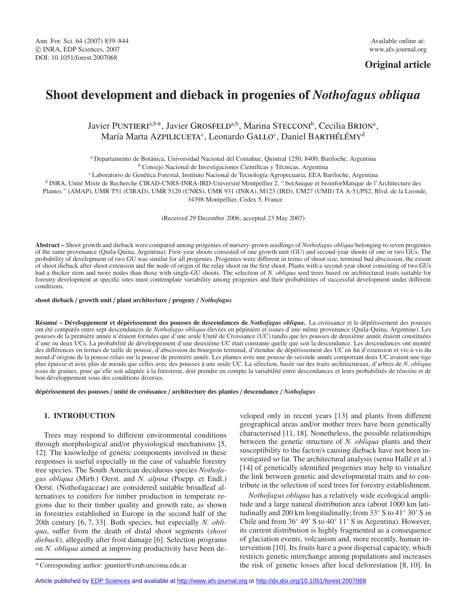## **Original article**

# **Shoot development and dieback in progenies of** *Nothofagus obliqua*

Javier PUNTIERI<sup>a,b\*</sup>, Javier GROSFELD<sup>a,b</sup>, Marina STECCONI<sup>b</sup>, Cecilia BRION<sup>a</sup>, María Marta Azpilicueta<sup>c</sup>, Leonardo Gallo<sup>c</sup>, Daniel Barth<mark>élé</mark>my<sup>d</sup>

<sup>a</sup> Departamento de Botánica, Universidad Nacional del Comahue, Quintral 1250, 8400, Bariloche, Argentina

<sup>b</sup> Consejo Nacional de Investigaciones Científicas y Técnicas, Argentina

<sup>c</sup> Laboratorio de Genética Forestal, Instituto Nacional de Tecnología Agropecuaria, EEA Bariloche, Argentina

<sup>d</sup> INRA, Unité Mixte de Recherche CIRAD-CNRS-INRA-IRD-Université Montpellier 2, " botAnique et bioinforMatique de l'Architecture des

Plantes " (AMAP), UMR T51 (CIRAD), UMR 5120 (CNRS), UMR 931 (INRA), M123 (IRD), UM27 (UMII) TA A-51/PS2, Blvd. de la Lironde,

34398 Montpellier, Cedex 5, France

(Received 29 December 2006; accepted 23 May 2007)

**Abstract –** Shoot growth and dieback were compared among progenies of nursery-grown seedlings of *Nothofagus obliqua* belonging to seven progenies of the same provenance (Quila-Quina, Argentina). First-year shoots consisted of one growth unit (GU) and second-year shoots of one or two GUs. The probability of development of two GU was similar for all progenies. Progenies were different in terms of shoot size, terminal bud abscission, the extent of shoot dieback after shoot extension and the node of origin of the relay shoot on the first shoot. Plants with a second-year shoot consisting of two GUs had a thicker stem and more nodes than those with single-GU shoots. The selection of *N. obliqua* seed trees based on architectural traits suitable for forestry development at specific sites must contemplate variability among progenies and their probabilities of successful development under different conditions.

#### **shoot dieback** / **growth unit** / **plant architecture** / **progeny** / *Nothofagus*

**Résumé – Développement et dépérissement des pousses de descendances de** *Nothofagus obliqua***.** La croissance et le dépérissement des pousses ont été comparés entre sept descendances de *Nothofagus obliqua* élevées en pépinière et issues d'une même provenance (Quila-Quina, Argentine). Les pousses de la première année n'étaient formées que d'une seule Unité de Croissance (UC) tandis que les pousses de deuxième année étaient constituées d'une ou deux UCs. La probabilité de développement d'une deuxième UC était constante quelle que soit la descendance. Les descendances ont montré des différences en termes de taille de pousse, d'abscission du bourgeon terminal, d'étendue de dépérissement des UC en fin d'extension et vis-à-vis du nœud d'origine de la pousse relais sur la pousse de première année. Les plantes avec une pousse de seconde année comportant deux UC avaient une tige plus épaisse et avec plus de nœuds que celles avec des pousses à une seule UC. La sélection, basée sur des traits architecturaux, d'arbres de *N. obliqua* issus de graines, pour qu'elle soit adaptée à la foresterie, doit prendre en compte la variabilité entre descendances et leurs probabilités de réussite et de bon développement sous des conditions diverses.

**dépérissement des pousses** / **unité de croissance** / **architecture des plantes** / **descendance** / *Nothofagus*

### **1. INTRODUCTION**

Trees may respond to different environmental conditions through morphological and/or physiological mechanisms [5, 12]. The knowledge of genetic components involved in these responses is useful especially in the case of valuable forestry tree species. The South American deciduous species *Nothofagus obliqua* (Mirb.) Oerst. and *N. alpina* (Poepp. et Endl.) Oerst. (Nothofagaceae) are considered suitable broadleaf alternatives to conifers for timber production in temperate regions due to their timber quality and growth rate, as shown in forestries established in Europe in the second half of the 20th century [6, 7, 33]. Both species, but especially *N. obliqua*, suffer from the death of distal shoot segments (*shoot dieback*), allegedly after frost damage [6]. Selection programs on *N. obliqua* aimed at improving productivity have been developed only in recent years [13] and plants from different geographical areas and/or mother trees have been genetically characterised [11, 18]. Nonetheless, the possible relationships between the genetic structure of *N. obliqua* plants and their susceptibility to the factor/s causing dieback have not been investigated so far. The architectural analysis (sensu Hallé et al.) [14] of genetically identified progenies may help to visualize the link between genetic and developmental traits and to contribute in the selection of seed trees for forestry establishment.

*Nothofagus obliqua* has a relatively wide ecological amplitude and a large natural distribution area (about 1000 km latitudinally and 200 km longitudinally; from 33◦ S to 41◦ 30' S in Chile and from 36◦ 49' S to 40◦ 11' S in Argentina). However, its current distribution is highly fragmented as a consequence of glaciation events, volcanism and, more recently, human intervention [10]. Its fruits have a poor dispersal capacity, which restricts genetic interchange among populations and increases the risk of genetic losses after local deforestation [8, 10]. In

<sup>\*</sup> Corresponding author: jpuntier@crub.uncoma.edu.ar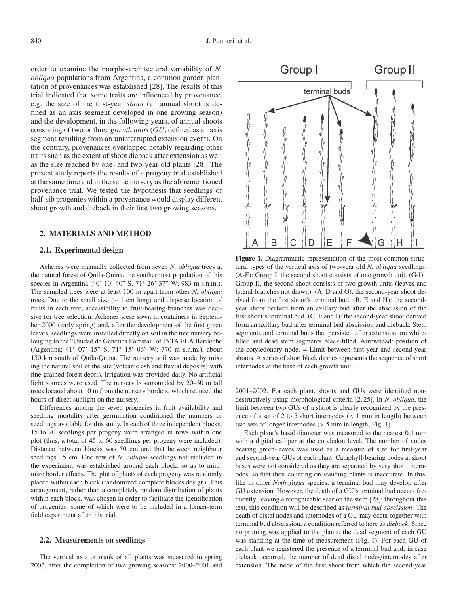order to examine the morpho-architectural variability of *N. obliqua* populations from Argentina, a common garden plantation of provenances was established [28]. The results of this trial indicated that some traits are influenced by provenance, e.g. the size of the first-year *shoot* (an annual shoot is defined as an axis segment developed in one growing season) and the development, in the following years, of annual shoots consisting of two or three *growth units* (*GU*; defined as an axis segment resulting from an uninterrupted extension event). On the contrary, provenances overlapped notably regarding other traits such as the extent of shoot dieback after extension as well as the size reached by one- and two-year-old plants [28]. The present study reports the results of a progeny trial established at the same time and in the same nursery as the aforementioned provenance trial. We tested the hypothesis that seedlings of half-sib progenies within a provenance would display different shoot growth and dieback in their first two growing seasons.

## **2. MATERIALS AND METHOD**

#### **2.1. Experimental design**

Achenes were manually collected from seven *N. obliqua* trees at the natural forest of Quila-Quina, the southermost population of this species in Argentina (40˚ 10' 40" S, 71◦ 26' 37" W; 983 m s.n.m.). The sampled trees were at least 100 m apart from other *N. obliqua* trees. Due to the small size (∼ 1 cm long) and disperse location of fruits in each tree, accessibility to fruit-bearing branches was decisive for tree selection. Achenes were sown in containers in September 2000 (early spring) and, after the development of the first green leaves, seedlings were installed directly on soil in the tree nursery belonging to the "Unidad de Genética Forestal" of INTA EEA Bariloche (Argentina; 41◦ 07' 15" S, 71◦ 15' 06" W; 770 m s.n.m.), about 150 km south of Quila-Quina. The nursery soil was made by mixing the natural soil of the site (volcanic ash and fluvial deposits) with fine-grained forest debris. Irrigation was provided daily. No artificial light sources were used. The nursery is surrounded by 20–30 m tall trees located about 10 m from the nursery borders, which reduced the hours of direct sunlight on the nursery.

Differences among the seven progenies in fruit availability and seedling mortality after germination conditioned the numbers of seedlings available for this study. In each of three independent blocks, 15 to 20 seedlings per progeny were arranged in rows within one plot (thus, a total of 45 to 60 seedlings per progeny were included). Distance between blocks was 50 cm and that between neighbour seedlings 15 cm. One row of *N. obliqua* seedlings not included in the experiment was established around each block, so as to minimize border effects. The plot of plants of each progeny was randomly placed within each block (randomized complete blocks design). This arrangement, rather than a completely random distribution of plants within each block, was chosen in order to facilitate the identification of progenies, some of which were to be included in a longer-term field experiment after this trial.

#### **2.2. Measurements on seedlings**

The vertical axis or trunk of all plants was measured in spring 2002, after the completion of two growing seasons: 2000–2001 and



**Figure 1.** Diagrammatic representation of the most common structural types of the vertical axis of two-year old *N. obliqua* seedlings. (A-F): Group I, the second shoot consists of one growth unit. (G-I): Group II, the second shoot consists of two growth units (leaves and lateral branches not drawn). (A, D and G): the second-year shoot derived from the first shoot's terminal bud. (B, E and H): the secondyear shoot derived from an axillary bud after the abscission of the first shoot's terminal bud. (C, F and I): the second-year shoot derived from an axillary bud after terminal bud abscission and dieback. Stem segments and terminal buds that persisted after extension are whitefilled and dead stem segments black-filled. Arrowhead: position of the cotyledonary node. = Limit between first-year and second-year shoots. A series of short black dashes represents the sequence of short internodes at the base of each growth unit.

2001–2002. For each plant, shoots and GUs were identified nondestructively using morphological criteria [2, 25]. In *N*. *obliqua*, the limit between two GUs of a shoot is clearly recognized by the presence of a set of 2 to 5 short internodes  $\left($  < 1 mm in length) between two sets of longer internodes (> 5 mm in length; Fig. 1).

Each plant's basal diameter was measured to the nearest 0.1 mm with a digital calliper at the cotyledon level. The number of nodes bearing green-leaves was used as a measure of size for first-year and second-year GUs of each plant. Cataphyll-bearing nodes at shoot bases were not considered as they are separated by very short internodes, so that their counting on standing plants is inaccurate. In this, like in other *Nothofagus* species, a terminal bud may develop after GU extension. However, the death of a GU's terminal bud occurs frequently, leaving a recognizable scar on the stem [28]; throughout this text, this condition will be described as *terminal bud abscission*. The death of distal nodes and internodes of a GU may occur together with terminal bud abscission, a condition referred to here as *dieback*. Since no pruning was applied to the plants, the dead segment of each GU was standing at the time of measurement (Fig. 1). For each GU of each plant we registered the presence of a terminal bud and, in case dieback occurred, the number of dead distal nodes/internodes after extension. The node of the first shoot from which the second-year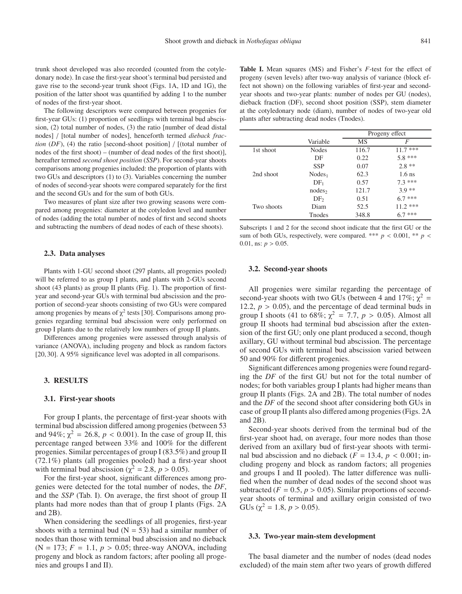trunk shoot developed was also recorded (counted from the cotyledonary node). In case the first-year shoot's terminal bud persisted and gave rise to the second-year trunk shoot (Figs. 1A, 1D and 1G), the position of the latter shoot was quantified by adding 1 to the number of nodes of the first-year shoot.

The following descriptors were compared between progenies for first-year GUs: (1) proportion of seedlings with terminal bud abscission, (2) total number of nodes, (3) the ratio [number of dead distal nodes] / [total number of nodes], henceforth termed *dieback fraction* (*DF*), (4) the ratio [second-shoot position] / [(total number of nodes of the first shoot) – (number of dead nodes of the first shoot)], hereafter termed *second shoot position* (*SSP*). For second-year shoots comparisons among progenies included: the proportion of plants with two GUs and descriptors (1) to (3). Variables concerning the number of nodes of second-year shoots were compared separately for the first and the second GUs and for the sum of both GUs.

Two measures of plant size after two growing seasons were compared among progenies: diameter at the cotyledon level and number of nodes (adding the total number of nodes of first and second shoots and subtracting the numbers of dead nodes of each of these shoots).

#### **2.3. Data analyses**

Plants with 1-GU second shoot (297 plants, all progenies pooled) will be referred to as group I plants, and plants with 2-GUs second shoot (43 plants) as group II plants (Fig. 1). The proportion of firstyear and second-year GUs with terminal bud abscission and the proportion of second-year shoots consisting of two GUs were compared among progenies by means of  $\chi^2$  tests [30]. Comparisons among progenies regarding terminal bud abscission were only performed on group I plants due to the relatively low numbers of group II plants.

Differences among progenies were assessed through analysis of variance (ANOVA), including progeny and block as random factors [20, 30]. A 95% significance level was adopted in all comparisons.

## **3. RESULTS**

#### **3.1. First-year shoots**

For group I plants, the percentage of first-year shoots with terminal bud abscission differed among progenies (between 53 and 94%;  $\chi^2 = 26.8$ ,  $p < 0.001$ ). In the case of group II, this percentage ranged between 33% and 100% for the different progenies. Similar percentages of group I (83.5%) and group II (72.1%) plants (all progenies pooled) had a first-year shoot with terminal bud abscission ( $\chi^2 = 2.8$ ,  $p > 0.05$ ).

For the first-year shoot, significant differences among progenies were detected for the total number of nodes, the *DF*, and the *SSP* (Tab. I). On average, the first shoot of group II plants had more nodes than that of group I plants (Figs. 2A and 2B).

When considering the seedlings of all progenies, first-year shoots with a terminal bud ( $N = 53$ ) had a similar number of nodes than those with terminal bud abscission and no dieback  $(N = 173; F = 1.1, p > 0.05;$  three-way ANOVA, including progeny and block as random factors; after pooling all progenies and groups I and II).

**Table I.** Mean squares (MS) and Fisher's *F*-test for the effect of progeny (seven levels) after two-way analysis of variance (block effect not shown) on the following variables of first-year and secondyear shoots and two-year plants: number of nodes per GU (nodes), dieback fraction (DF), second shoot position (SSP), stem diameter at the cotyledonary node (diam), number of nodes of two-year old plants after subtracting dead nodes (Tnodes).

|            |                    | Progeny effect |            |
|------------|--------------------|----------------|------------|
|            | Variable           | MS             | F          |
| 1st shoot  | Nodes              | 116.7          | $11.7***$  |
|            | DF                 | 0.22           | $5.8***$   |
|            | <b>SSP</b>         | 0.07           | $2.8**$    |
| 2nd shoot  | Nodes <sub>1</sub> | 62.3           | $1.6$ ns   |
|            | DF <sub>1</sub>    | 0.57           | $7.3***$   |
|            | nodes <sub>2</sub> | 121.7          | $3.9**$    |
|            | DF <sub>2</sub>    | 0.51           | $6.7***$   |
| Two shoots | Diam               | 52.5           | $11.2$ *** |
|            | Tnodes             | 348.8          | ***        |

Subscripts 1 and 2 for the second shoot indicate that the first GU or the sum of both GUs, respectively, were compared. \*\*\*  $p < 0.001$ , \*\*  $p <$ 0.01, ns:  $p > 0.05$ .

#### **3.2. Second-year shoots**

All progenies were similar regarding the percentage of second-year shoots with two GUs (between 4 and 17%;  $\chi^2$  = 12.2,  $p > 0.05$ ), and the percentage of dead terminal buds in group I shoots (41 to 68%;  $\chi^2 = 7.7$ ,  $p > 0.05$ ). Almost all group II shoots had terminal bud abscission after the extension of the first GU; only one plant produced a second, though axillary, GU without terminal bud abscission. The percentage of second GUs with terminal bud abscission varied between 50 and 90% for different progenies.

Significant differences among progenies were found regarding the *DF* of the first GU but not for the total number of nodes; for both variables group I plants had higher means than group II plants (Figs. 2A and 2B). The total number of nodes and the *DF* of the second shoot after considering both GUs in case of group II plants also differed among progenies (Figs. 2A and 2B).

Second-year shoots derived from the terminal bud of the first-year shoot had, on average, four more nodes than those derived from an axillary bud of first-year shoots with terminal bud abscission and no dieback ( $F = 13.4$ ,  $p < 0.001$ ; including progeny and block as random factors; all progenies and groups I and II pooled). The latter difference was nullified when the number of dead nodes of the second shoot was subtracted ( $F = 0.5$ ,  $p > 0.05$ ). Similar proportions of secondyear shoots of terminal and axillary origin consisted of two GUs ( $\chi^2 = 1.8$ ,  $p > 0.05$ ).

#### **3.3. Two-year main-stem development**

The basal diameter and the number of nodes (dead nodes excluded) of the main stem after two years of growth differed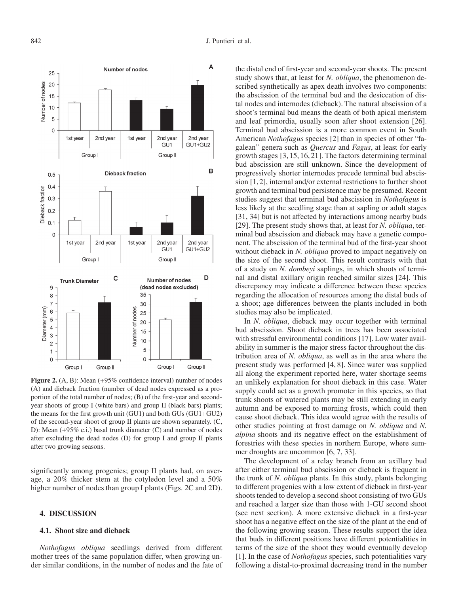

**Figure 2.** (A, B): Mean (+95% confidence interval) number of nodes (A) and dieback fraction (number of dead nodes expressed as a proportion of the total number of nodes; (B) of the first-year and secondyear shoots of group I (white bars) and group II (black bars) plants; the means for the first growth unit (GU1) and both GUs (GU1+GU2) of the second-year shoot of group II plants are shown separately. (C, D): Mean (+95% c.i.) basal trunk diameter (C) and number of nodes after excluding the dead nodes (D) for group I and group II plants after two growing seasons.

significantly among progenies; group II plants had, on average, a 20% thicker stem at the cotyledon level and a 50% higher number of nodes than group I plants (Figs. 2C and 2D).

## **4. DISCUSSION**

## **4.1. Shoot size and dieback**

*Nothofagus obliqua* seedlings derived from different mother trees of the same population differ, when growing under similar conditions, in the number of nodes and the fate of

the distal end of first-year and second-year shoots. The present study shows that, at least for *N. obliqua*, the phenomenon described synthetically as apex death involves two components: the abscission of the terminal bud and the desiccation of distal nodes and internodes (dieback). The natural abscission of a shoot's terminal bud means the death of both apical meristem and leaf primordia, usually soon after shoot extension [26]. Terminal bud abscission is a more common event in South American *Nothofagus* species [2] than in species of other "fagalean" genera such as *Quercus* and *Fagus*, at least for early growth stages [3, 15, 16, 21]. The factors determining terminal bud abscission are still unknown. Since the development of progressively shorter internodes precede terminal bud abscission [1,2], internal and/or external restrictions to further shoot growth and terminal bud persistence may be presumed. Recent studies suggest that terminal bud abscission in *Nothofagus* is less likely at the seedling stage than at sapling or adult stages [31, 34] but is not affected by interactions among nearby buds [29]. The present study shows that, at least for *N. obliqua*, terminal bud abscission and dieback may have a genetic component. The abscission of the terminal bud of the first-year shoot without dieback in *N. obliqua* proved to impact negatively on the size of the second shoot. This result contrasts with that of a study on *N. dombeyi* saplings, in which shoots of terminal and distal axillary origin reached similar sizes [24]. This discrepancy may indicate a difference between these species regarding the allocation of resources among the distal buds of a shoot; age differences between the plants included in both studies may also be implicated.

In *N. obliqua*, dieback may occur together with terminal bud abscission. Shoot dieback in trees has been associated with stressful environmental conditions [17]. Low water availability in summer is the major stress factor throughout the distribution area of *N. obliqua*, as well as in the area where the present study was performed [4, 8]. Since water was supplied all along the experiment reported here, water shortage seems an unlikely explanation for shoot dieback in this case. Water supply could act as a growth promoter in this species, so that trunk shoots of watered plants may be still extending in early autumn and be exposed to morning frosts, which could then cause shoot dieback. This idea would agree with the results of other studies pointing at frost damage on *N. obliqua* and *N. alpina* shoots and its negative effect on the establishment of forestries with these species in northern Europe, where summer droughts are uncommon [6, 7, 33].

The development of a relay branch from an axillary bud after either terminal bud abscission or dieback is frequent in the trunk of *N. obliqua* plants. In this study, plants belonging to different progenies with a low extent of dieback in first-year shoots tended to develop a second shoot consisting of two GUs and reached a larger size than those with 1-GU second shoot (see next section). A more extensive dieback in a first-year shoot has a negative effect on the size of the plant at the end of the following growing season. These results support the idea that buds in different positions have different potentialities in terms of the size of the shoot they would eventually develop [1]. In the case of *Nothofagus* species, such potentialities vary following a distal-to-proximal decreasing trend in the number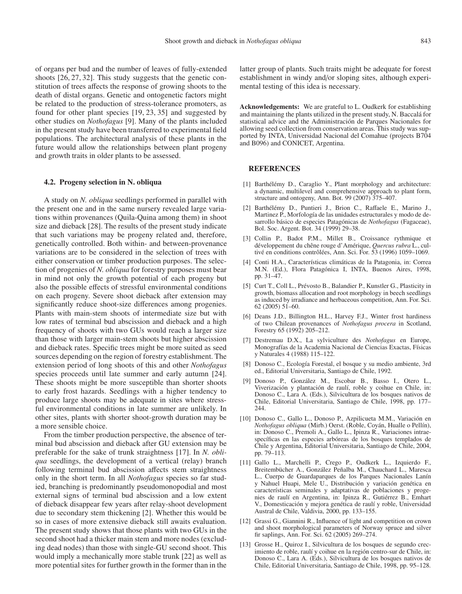of organs per bud and the number of leaves of fully-extended shoots [26, 27, 32]. This study suggests that the genetic constitution of trees affects the response of growing shoots to the death of distal organs. Genetic and ontogenetic factors might be related to the production of stress-tolerance promoters, as found for other plant species [19, 23, 35] and suggested by other studies on *Nothofagus* [9]. Many of the plants included in the present study have been transferred to experimental field populations. The architectural analysis of these plants in the future would allow the relationships between plant progeny and growth traits in older plants to be assessed.

## **4.2. Progeny selection in N. obliqua**

A study on *N. obliqua* seedlings performed in parallel with the present one and in the same nursery revealed large variations within provenances (Quila-Quina among them) in shoot size and dieback [28]. The results of the present study indicate that such variations may be progeny related and, therefore, genetically controlled. Both within- and between-provenance variations are to be considered in the selection of trees with either conservation or timber production purposes. The selection of progenies of *N. obliqua* for forestry purposes must bear in mind not only the growth potential of each progeny but also the possible effects of stressful environmental conditions on each progeny. Severe shoot dieback after extension may significantly reduce shoot-size differences among progenies. Plants with main-stem shoots of intermediate size but with low rates of terminal bud abscission and dieback and a high frequency of shoots with two GUs would reach a larger size than those with larger main-stem shoots but higher abscission and dieback rates. Specific trees might be more suited as seed sources depending on the region of forestry establishment. The extension period of long shoots of this and other *Nothofagus* species proceeds until late summer and early autumn [24]. These shoots might be more susceptible than shorter shoots to early frost hazards. Seedlings with a higher tendency to produce large shoots may be adequate in sites where stressful environmental conditions in late summer are unlikely. In other sites, plants with shorter shoot-growth duration may be a more sensible choice.

From the timber production perspective, the absence of terminal bud abscission and dieback after GU extension may be preferable for the sake of trunk straightness [17]. In *N. obliqua* seedlings, the development of a vertical (relay) branch following terminal bud abscission affects stem straightness only in the short term. In all *Nothofagus* species so far studied, branching is predominantly pseudomonopodial and most external signs of terminal bud abscission and a low extent of dieback disappear few years after relay-shoot development due to secondary stem thickening [2]. Whether this would be so in cases of more extensive dieback still awaits evaluation. The present study shows that those plants with two GUs in the second shoot had a thicker main stem and more nodes (excluding dead nodes) than those with single-GU second shoot. This would imply a mechanically more stable trunk [22] as well as more potential sites for further growth in the former than in the latter group of plants. Such traits might be adequate for forest establishment in windy and/or sloping sites, although experimental testing of this idea is necessary.

**Acknowledgements:** We are grateful to L. Oudkerk for establishing and maintaining the plants utilized in the present study, N. Baccalá for statistical advice and the Administración de Parques Nacionales for allowing seed collection from conservation areas. This study was supported by INTA, Universidad Nacional del Comahue (projects B704 and B096) and CONICET, Argentina.

## **REFERENCES**

- [1] Barthélémy D., Caraglio Y., Plant morphology and architecture: a dynamic, multilevel and comprehensive approach to plant form, structure and ontogeny, Ann. Bot. 99 (2007) 375–407.
- [2] Barthélémy D., Puntieri J., Brion C., Raffaele E., Marino J., Martinez P., Morfología de las unidades estructurales y modo de desarrollo básico de especies Patagónicas de *Nothofagus* (Fagaceae), Bol. Soc. Argent. Bot. 34 (1999) 29–38.
- [3] Collin P., Badot P.M., Millet B., Croissance rythmique et développement du chêne rouge d'Amérique, *Quercus rubra* L., cultivé en conditions contrôlées, Ann. Sci. For. 53 (1996) 1059–1069.
- [4] Conti H.A., Características climáticas de la Patagonia, in: Correa M.N. (Ed.), Flora Patagónica I, INTA, Buenos Aires, 1998, pp. 31–47.
- [5] Curt T., Coll L., Prévosto B., Balandier P., Kunstler G., Plasticity in growth, biomass allocation and root morphology in beech seedlings as induced by irradiance and herbaceous competition, Ann. For. Sci. 62 (2005) 51–60.
- [6] Deans J.D., Billington H.L., Harvey F.J., Winter frost hardiness of two Chilean provenances of *Nothofagus procera* in Scotland, Forestry 65 (1992) 205–212.
- [7] Destremau D.X., La sylviculture des *Nothofagus* en Europe, Monografías de la Academia Nacional de Ciencias Exactas, Físicas y Naturales 4 (1988) 115–122.
- [8] Donoso C., Ecología Forestal, el bosque y su medio ambiente, 3rd ed., Editorial Universitaria, Santiago de Chile, 1992.
- [9] Donoso P., González M., Escobar B., Basso I., Otero L., Viverización y plantación de raulí, roble y coihue en Chile, in: Donoso C., Lara A. (Eds.), Silvicultura de los bosques nativos de Chile, Editorial Universitaria, Santiago de Chile, 1998, pp. 177– 244.
- [10] Donoso C., Gallo L., Donoso P., Azpilicueta M.M., Variación en *Nothofagus obliqua* (Mirb.) Oerst. (Roble, Coyán, Hualle o Pellín), in: Donoso C., Premoli A., Gallo L., Ipinza R., Variaciones intraespecíficas en las especies arbóreas de los bosques templados de Chile y Argentina, Editorial Universitaria, Santiago de Chile, 2004, pp. 79–113.
- [11] Gallo L., Marchelli P., Crego P., Oudkerk L., Izquierdo F., Breitembücher A., González Peñalba M., Chauchard L., Maresca L., Cuerpo de Guardaparques de los Parques Nacionales Lanín y Nahuel Huapi, Mele U., Distribución y variación genética en características seminales y adaptativas de poblaciones y progenies de raulí en Argentina, in: Ipinza R., Gutiérrez B., Emhart V., Domesticación y mejora genética de raulí y roble, Universidad Austral de Chile, Valdivia, 2000, pp. 133–155.
- [12] Grassi G., Giannini R., Influence of light and competition on crown and shoot morphological parameters of Norway spruce and silver fir saplings, Ann. For. Sci. 62 (2005) 269–274.
- [13] Grosse H., Quiroz I., Silvicultura de los bosques de segundo crecimiento de roble, raulí y coihue en la región centro-sur de Chile, in: Donoso C., Lara A. (Eds.), Silvicultura de los bosques nativos de Chile, Editorial Universitaria, Santiago de Chile, 1998, pp. 95–128.